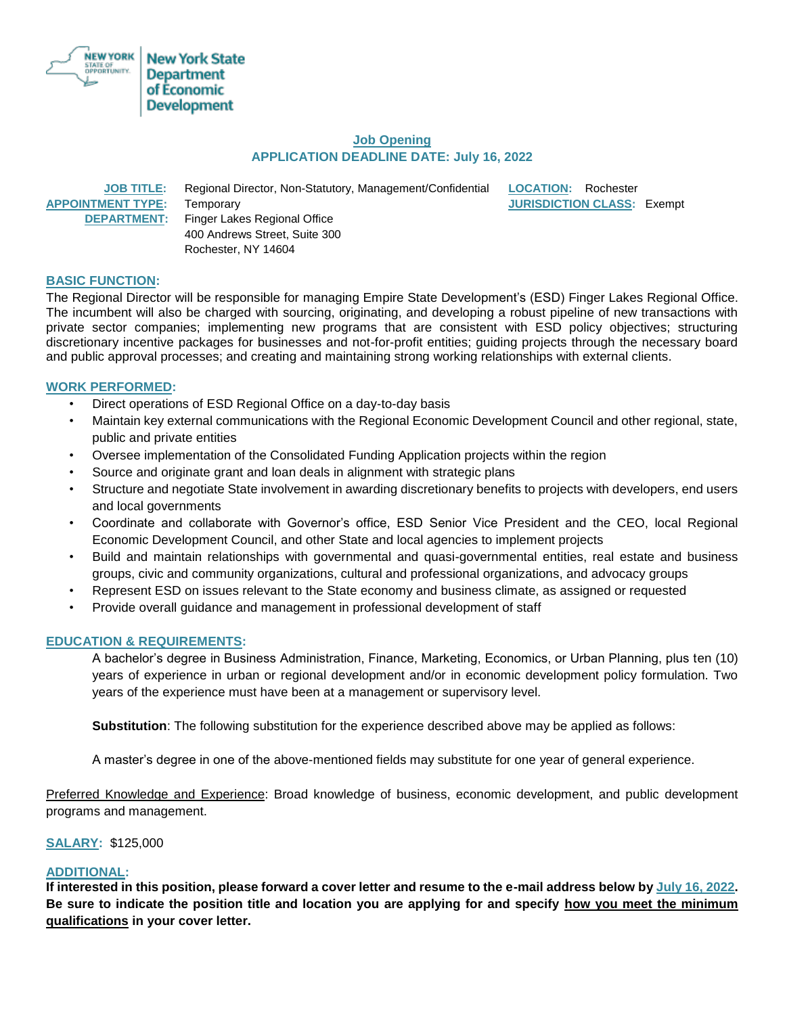

## **Job Opening APPLICATION DEADLINE DATE: July 16, 2022**

 **JOB TITLE:** Regional Director, Non-Statutory, Management/Confidential **LOCATION:** Rochester **APPOINTMENT TYPE:** Temporary **JURISDICTION CLASS:** Exempt **DEPARTMENT:** Finger Lakes Regional Office 400 Andrews Street, Suite 300 Rochester, NY 14604

# **BASIC FUNCTION:**

The Regional Director will be responsible for managing Empire State Development's (ESD) Finger Lakes Regional Office. The incumbent will also be charged with sourcing, originating, and developing a robust pipeline of new transactions with private sector companies; implementing new programs that are consistent with ESD policy objectives; structuring discretionary incentive packages for businesses and not-for-profit entities; guiding projects through the necessary board and public approval processes; and creating and maintaining strong working relationships with external clients.

### **WORK PERFORMED:**

- Direct operations of ESD Regional Office on a day-to-day basis
- Maintain key external communications with the Regional Economic Development Council and other regional, state, public and private entities
- Oversee implementation of the Consolidated Funding Application projects within the region
- Source and originate grant and loan deals in alignment with strategic plans
- Structure and negotiate State involvement in awarding discretionary benefits to projects with developers, end users and local governments
- Coordinate and collaborate with Governor's office, ESD Senior Vice President and the CEO, local Regional Economic Development Council, and other State and local agencies to implement projects
- Build and maintain relationships with governmental and quasi-governmental entities, real estate and business groups, civic and community organizations, cultural and professional organizations, and advocacy groups
- Represent ESD on issues relevant to the State economy and business climate, as assigned or requested
- Provide overall guidance and management in professional development of staff

#### **EDUCATION & REQUIREMENTS:**

A bachelor's degree in Business Administration, Finance, Marketing, Economics, or Urban Planning, plus ten (10) years of experience in urban or regional development and/or in economic development policy formulation. Two years of the experience must have been at a management or supervisory level.

**Substitution**: The following substitution for the experience described above may be applied as follows:

A master's degree in one of the above-mentioned fields may substitute for one year of general experience.

Preferred Knowledge and Experience: Broad knowledge of business, economic development, and public development programs and management.

**SALARY:** \$125,000

#### **ADDITIONAL:**

**If interested in this position, please forward a cover letter and resume to the e-mail address below by July 16, 2022. Be sure to indicate the position title and location you are applying for and specify how you meet the minimum qualifications in your cover letter.**